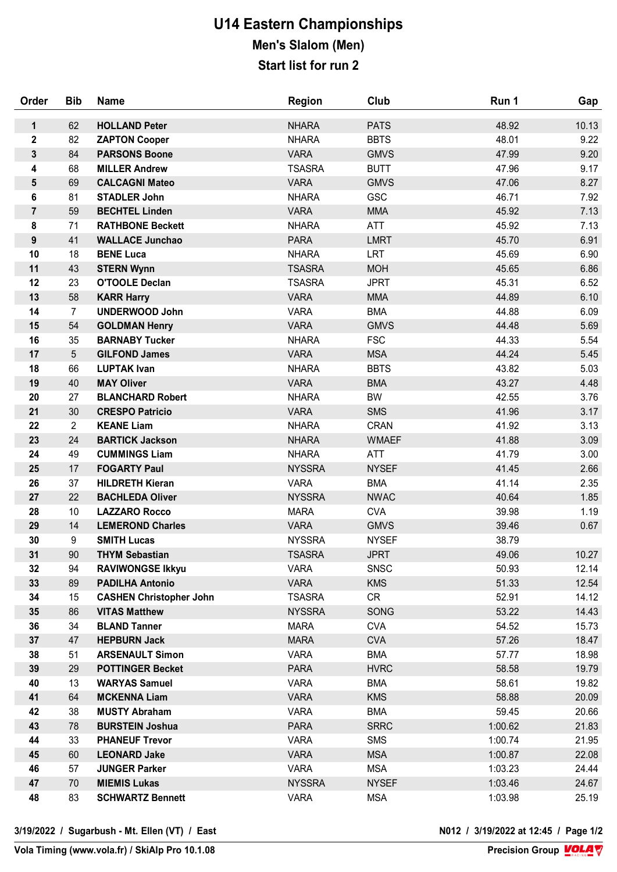## **U14 Eastern Championships Men's Slalom (Men) Start list for run 2**

| Order            | <b>Bib</b>      | <b>Name</b>                                 | <b>Region</b>              | Club                     | Run 1          | Gap            |
|------------------|-----------------|---------------------------------------------|----------------------------|--------------------------|----------------|----------------|
| $\mathbf{1}$     | 62              | <b>HOLLAND Peter</b>                        | <b>NHARA</b>               | <b>PATS</b>              | 48.92          | 10.13          |
| $\mathbf 2$      | 82              | <b>ZAPTON Cooper</b>                        | <b>NHARA</b>               | <b>BBTS</b>              | 48.01          | 9.22           |
| 3                | 84              | <b>PARSONS Boone</b>                        | <b>VARA</b>                | <b>GMVS</b>              | 47.99          | 9.20           |
| 4                | 68              | <b>MILLER Andrew</b>                        | <b>TSASRA</b>              | <b>BUTT</b>              | 47.96          | 9.17           |
| 5                | 69              | <b>CALCAGNI Mateo</b>                       | <b>VARA</b>                | <b>GMVS</b>              | 47.06          | 8.27           |
| 6                | 81              | <b>STADLER John</b>                         | <b>NHARA</b>               | <b>GSC</b>               | 46.71          | 7.92           |
| $\overline{7}$   | 59              | <b>BECHTEL Linden</b>                       | <b>VARA</b>                | <b>MMA</b>               | 45.92          | 7.13           |
| 8                | 71              | <b>RATHBONE Beckett</b>                     | <b>NHARA</b>               | <b>ATT</b>               | 45.92          | 7.13           |
| $\boldsymbol{9}$ | 41              | <b>WALLACE Junchao</b>                      | <b>PARA</b>                | <b>LMRT</b>              | 45.70          | 6.91           |
| 10               | 18              | <b>BENE Luca</b>                            | <b>NHARA</b>               | <b>LRT</b>               | 45.69          | 6.90           |
| 11               | 43              | <b>STERN Wynn</b>                           | <b>TSASRA</b>              | <b>MOH</b>               | 45.65          | 6.86           |
| 12               | 23              | <b>O'TOOLE Declan</b>                       | <b>TSASRA</b>              | <b>JPRT</b>              | 45.31          | 6.52           |
| 13               | 58              | <b>KARR Harry</b>                           | <b>VARA</b>                | <b>MMA</b>               | 44.89          | 6.10           |
| 14               | $\overline{7}$  | <b>UNDERWOOD John</b>                       | <b>VARA</b>                | <b>BMA</b>               | 44.88          | 6.09           |
| 15               | 54              | <b>GOLDMAN Henry</b>                        | <b>VARA</b>                | <b>GMVS</b>              | 44.48          | 5.69           |
| 16               | 35              | <b>BARNABY Tucker</b>                       | <b>NHARA</b>               | <b>FSC</b>               | 44.33          | 5.54           |
| 17               | 5               | <b>GILFOND James</b>                        | <b>VARA</b>                | <b>MSA</b>               | 44.24          | 5.45           |
| 18               | 66              | <b>LUPTAK Ivan</b>                          | <b>NHARA</b>               | <b>BBTS</b>              | 43.82          | 5.03           |
| 19               | 40              | <b>MAY Oliver</b>                           | <b>VARA</b>                | <b>BMA</b>               | 43.27          | 4.48           |
| 20               | 27              | <b>BLANCHARD Robert</b>                     | <b>NHARA</b>               | <b>BW</b>                | 42.55          | 3.76           |
| 21               | 30              | <b>CRESPO Patricio</b>                      | <b>VARA</b>                | <b>SMS</b>               | 41.96          | 3.17           |
| 22               | $\overline{2}$  | <b>KEANE Liam</b>                           | <b>NHARA</b>               | <b>CRAN</b>              | 41.92          | 3.13           |
| 23               | 24              | <b>BARTICK Jackson</b>                      | <b>NHARA</b>               | <b>WMAEF</b>             | 41.88          | 3.09           |
| 24               | 49              | <b>CUMMINGS Liam</b>                        | <b>NHARA</b>               | ATT                      | 41.79          | 3.00           |
| 25               | 17              | <b>FOGARTY Paul</b>                         | <b>NYSSRA</b>              | <b>NYSEF</b>             | 41.45          | 2.66           |
| 26               | 37              | <b>HILDRETH Kieran</b>                      | <b>VARA</b>                | <b>BMA</b>               | 41.14          | 2.35           |
| 27               | 22              | <b>BACHLEDA Oliver</b>                      | <b>NYSSRA</b>              | <b>NWAC</b>              | 40.64          | 1.85           |
| 28               | 10 <sup>°</sup> | <b>LAZZARO Rocco</b>                        | <b>MARA</b>                | <b>CVA</b>               | 39.98          | 1.19           |
| 29               | 14              | <b>LEMEROND Charles</b>                     | <b>VARA</b>                | <b>GMVS</b>              | 39.46          | 0.67           |
| 30               | 9               | <b>SMITH Lucas</b>                          | <b>NYSSRA</b>              | <b>NYSEF</b>             | 38.79          |                |
| 31               | 90              | <b>THYM Sebastian</b>                       | <b>TSASRA</b>              | <b>JPRT</b>              | 49.06          | 10.27          |
| 32               | 94              | <b>RAVIWONGSE Ikkyu</b>                     | <b>VARA</b>                | <b>SNSC</b>              | 50.93          | 12.14          |
| 33               | 89              | <b>PADILHA Antonio</b>                      | <b>VARA</b>                | <b>KMS</b>               | 51.33          | 12.54          |
| 34               | 15              | <b>CASHEN Christopher John</b>              | <b>TSASRA</b>              | <b>CR</b>                | 52.91          | 14.12          |
| 35               | 86              | <b>VITAS Matthew</b><br><b>BLAND Tanner</b> | <b>NYSSRA</b>              | SONG                     | 53.22          | 14.43          |
| 36<br>37         | 34<br>47        | <b>HEPBURN Jack</b>                         | <b>MARA</b><br><b>MARA</b> | <b>CVA</b><br><b>CVA</b> | 54.52<br>57.26 | 15.73<br>18.47 |
| 38               | 51              | <b>ARSENAULT Simon</b>                      | <b>VARA</b>                | <b>BMA</b>               | 57.77          | 18.98          |
| 39               | 29              | <b>POTTINGER Becket</b>                     | <b>PARA</b>                | <b>HVRC</b>              | 58.58          | 19.79          |
| 40               | 13              | <b>WARYAS Samuel</b>                        | <b>VARA</b>                | <b>BMA</b>               | 58.61          | 19.82          |
| 41               | 64              | <b>MCKENNA Liam</b>                         | <b>VARA</b>                | <b>KMS</b>               | 58.88          | 20.09          |
| 42               | 38              | <b>MUSTY Abraham</b>                        | <b>VARA</b>                | <b>BMA</b>               | 59.45          | 20.66          |
| 43               | 78              | <b>BURSTEIN Joshua</b>                      | <b>PARA</b>                | <b>SRRC</b>              | 1:00.62        | 21.83          |
| 44               | 33              | <b>PHANEUF Trevor</b>                       | <b>VARA</b>                | <b>SMS</b>               | 1:00.74        | 21.95          |
| 45               | 60              | <b>LEONARD Jake</b>                         | <b>VARA</b>                | <b>MSA</b>               | 1:00.87        | 22.08          |
| 46               | 57              | <b>JUNGER Parker</b>                        | <b>VARA</b>                | <b>MSA</b>               | 1:03.23        | 24.44          |
| 47               | 70              | <b>MIEMIS Lukas</b>                         | <b>NYSSRA</b>              | <b>NYSEF</b>             | 1:03.46        | 24.67          |
| 48               | 83              | <b>SCHWARTZ Bennett</b>                     | <b>VARA</b>                | <b>MSA</b>               | 1:03.98        | 25.19          |
|                  |                 |                                             |                            |                          |                |                |